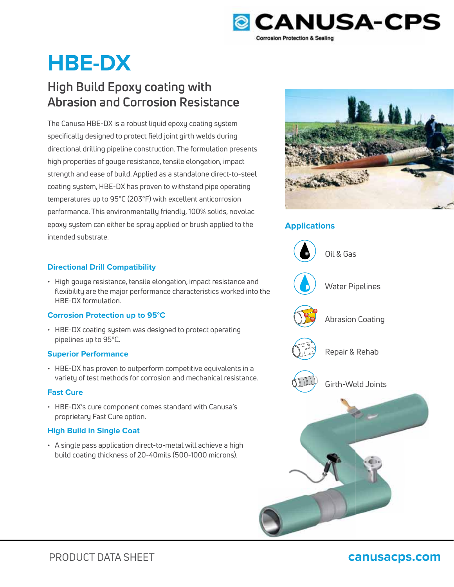

# **HBE-DX**

# **High Build Epoxy coating with Abrasion and Corrosion Resistance**

The Canusa HBE-DX is a robust liquid epoxy coating system specifically designed to protect field joint girth welds during directional drilling pipeline construction. The formulation presents high properties of gouge resistance, tensile elongation, impact strength and ease of build. Applied as a standalone direct-to-steel coating system, HBE-DX has proven to withstand pipe operating temperatures up to 95°C (203°F) with excellent anticorrosion performance. This environmentally friendly, 100% solids, novolac epoxy system can either be spray applied or brush applied to the intended substrate.

# **Directional Drill Compatibility**

• High gouge resistance, tensile elongation, impact resistance and flexibility are the major performance characteristics worked into the HBE-DX formulation.

# **Corrosion Protection up to 95°C**

• HBE-DX coating system was designed to protect operating pipelines up to 95°C.

# **Superior Performance**

• HBE-DX has proven to outperform competitive equivalents in a variety of test methods for corrosion and mechanical resistance.

# **Fast Cure**

• HBE-DX's cure component comes standard with Canusa's proprietary Fast Cure option.

# **High Build in Single Coat**

• A single pass application direct-to-metal will achieve a high build coating thickness of 20-40mils (500-1000 microns).



# **Applications**



# PRODUCT DATA SHEET **canusacps.com**